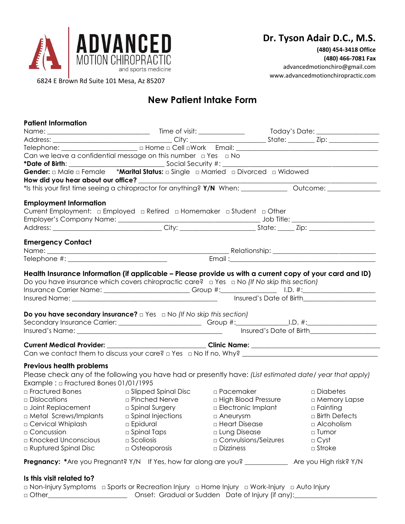

**(480) 454-3418 Office (480) 466-7081 Fax** advancedmotionchiro@gmail.com www.advancedmotionchiropractic.com

6824 E Brown Rd Suite 101 Mesa, Az 85207

# **New Patient Intake Form**

| <b>Patient Information</b>                                                                                                                                                  |                                |                             |                                                |
|-----------------------------------------------------------------------------------------------------------------------------------------------------------------------------|--------------------------------|-----------------------------|------------------------------------------------|
|                                                                                                                                                                             |                                |                             |                                                |
|                                                                                                                                                                             |                                |                             |                                                |
|                                                                                                                                                                             |                                |                             |                                                |
| Can we leave a confidential message on this number $\Box$ Yes $\Box$ No                                                                                                     |                                |                             |                                                |
|                                                                                                                                                                             |                                |                             | <u> 1980 - Jan Barbara Barbara, manazarta </u> |
| Gender: a Male a Female *Marital Status: a Single a Married a Divorced a Widowed                                                                                            |                                |                             |                                                |
| How did you hear about our office? _                                                                                                                                        |                                |                             |                                                |
| *Is this your first time seeing a chiropractor for anything? Y/N When: _____________ Outcome: ____________                                                                  |                                |                             |                                                |
| <b>Employment Information</b>                                                                                                                                               |                                |                             |                                                |
| Current Employment: $\Box$ Employed $\Box$ Retired $\Box$ Homemaker $\Box$ Student $\Box$ Other                                                                             |                                |                             |                                                |
|                                                                                                                                                                             |                                |                             |                                                |
|                                                                                                                                                                             |                                |                             |                                                |
|                                                                                                                                                                             |                                |                             |                                                |
| <b>Emergency Contact</b>                                                                                                                                                    |                                |                             |                                                |
|                                                                                                                                                                             |                                |                             |                                                |
|                                                                                                                                                                             |                                |                             |                                                |
| <b>Do you have secondary insurance?</b> $\Box$ Yes $\Box$ No (If No skip this section)<br>Secondary Insurance Carrier: _______________________Group #:_____________________ |                                |                             | Insured's Date of Birth                        |
| Current Medical Provider: ___________________________Clinic Name: _________________________________                                                                         |                                |                             |                                                |
|                                                                                                                                                                             |                                |                             |                                                |
|                                                                                                                                                                             |                                |                             |                                                |
| Previous health problems                                                                                                                                                    |                                |                             |                                                |
| Please check any of the following you have had or presently have: (List estimated date/ year that apply)                                                                    |                                |                             |                                                |
| Example: $\Box$ Fractured Bones 01/01/1995                                                                                                                                  |                                |                             |                                                |
| a Fractured Bones and a Slipped Spinal Disc                                                                                                                                 |                                | $\Box$ Pacemaker            | □ Diabetes                                     |
| $\Box$ Dislocations                                                                                                                                                         | <b>Example 1 Pinched Nerve</b> | $\Box$ High Blood Pressure  | □ Memory Lapse                                 |
| <b>a</b> Joint Replacement <b>Comparison Comparison Comparison Comparison Comparison Comparison Comparison Comparison</b>                                                   |                                | $\Box$ Electronic Implant   | $\Box$ Fainting                                |
| $\Box$ Metal Screws/Implants $\qquad \Box$ Spinal Injections                                                                                                                |                                | $\Box$ Aneurysm             | $\sqcap$ Birth Defects                         |
| □ Cervical Whiplash                                                                                                                                                         | <b>Epidural</b>                | □ Heart Disease             | $\Box$ Alcoholism                              |
| □ Concussion                                                                                                                                                                | $\Box$ Spinal Taps             | □ Lung Disease              | □ Tumor                                        |
| □ Knocked Unconscious                                                                                                                                                       | $\square$ Scoliosis            | $\Box$ Convulsions/Seizures | $\Box$ Cyst                                    |
| a Ruptured Spinal Disc                                                                                                                                                      | $\Box$ Osteoporosis            | $\square$ Dizziness         | $\square$ Stroke                               |
|                                                                                                                                                                             |                                |                             |                                                |
| Pregnancy: *Are you Pregnant? Y/N If Yes, how far along are you? ____________ Are you High risk? Y/N                                                                        |                                |                             |                                                |
|                                                                                                                                                                             |                                |                             |                                                |
| Is this visit related to?                                                                                                                                                   |                                |                             |                                                |

|         | a Non-Injury Symptoms a Sports or Recreation Injury a Home Injury a Work-Injury a Auto Injury and D |  |
|---------|-----------------------------------------------------------------------------------------------------|--|
| □ Other | Onset: Gradual or Sudden Date of Injury (if any):                                                   |  |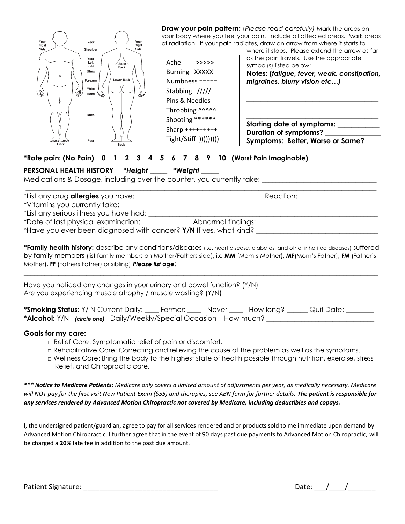

**Draw your pain pattern:** (*Please read carefully)* Mark the areas on your body where you feel your pain. Include all affected areas. Mark areas of radiation. If your pain radiates, draw an arrow from where it starts to

where it stops. Please extend the arrow as far as the pain travels. Use the appropriate symbol(s) listed below:

**Notes: (***fatigue, fever, weak, constipation, migraines, blurry vision etc…)*

**\_\_\_\_\_\_\_\_\_\_\_\_\_\_\_\_\_\_\_\_\_\_\_\_\_\_\_\_\_\_\_\_\_\_\_\_\_\_ \_\_\_\_\_\_\_\_\_\_\_\_\_\_\_\_\_\_\_\_\_\_\_\_\_\_\_\_\_\_\_\_\_\_\_\_\_\_ \_\_\_\_\_\_\_\_\_\_\_\_\_\_\_\_\_\_\_\_\_\_\_\_\_\_\_\_\_\_\_\_\_\_\_\_\_\_**

**\_\_\_\_\_\_\_\_\_\_\_\_\_\_\_\_\_\_\_\_\_\_\_\_\_\_\_\_\_\_\_\_**

**Starting date of symptoms: \_\_\_\_\_\_\_\_\_\_\_\_ Duration of symptoms? \_\_\_\_\_\_\_\_\_\_\_\_\_\_\_\_ Symptoms: Better, Worse or Same?**

## **\*Rate pain: (No Pain) 0 1 2 3 4 5 6 7 8 9 10 (Worst Pain Imaginable)**

#### **PERSONAL HEALTH HISTORY** *\*Height* \_\_\_\_\_ *\*Weight* \_\_\_\_\_

Medications & Dosage, including over the counter, you currently take:

|                                                                   | Reaction: <u>_______________</u> |
|-------------------------------------------------------------------|----------------------------------|
| *Vitamins you currently take: _____                               |                                  |
| *List any serious illness you have had:                           |                                  |
| *Date of last physical examination: _________                     | Abnormal findings:               |
| *Have you ever been diagnosed with cancer? Y/N If yes, what kind? |                                  |

**\*Family health history:** describe any conditions/diseases (i.e. heart disease, diabetes, and other inherited diseases) suffered by family members (list family members on Mother/Fathers side), i.e **MM** (Mom's Mother), **MF**(Mom's Father), **FM** (Father's Mother), FF (Fathers Father) or sibling) **Please list age:** 

\_\_\_\_\_\_\_\_\_\_\_\_\_\_\_\_\_\_\_\_\_\_\_\_\_\_\_\_\_\_\_\_\_\_\_\_\_\_\_\_\_\_\_\_\_\_\_\_\_\_\_\_\_\_\_\_\_\_\_\_\_\_\_\_\_\_\_\_\_\_\_\_\_\_\_\_\_\_\_\_\_\_\_\_\_\_\_\_\_\_\_\_\_\_\_\_\_\_\_\_\_\_

Have you noticed any changes in your urinary and bowel function? (Y/N)\_\_\_\_\_\_\_\_\_\_\_\_\_\_\_\_\_\_\_\_\_\_\_\_\_\_\_\_\_\_\_\_\_\_ Are you experiencing muscle atrophy / muscle wasting? (Y/N)

| <b>*Smoking Status:</b> Y/N Current Daily: _____ Former: ______ Never ______ How long? |  |  | Quit Date: |
|----------------------------------------------------------------------------------------|--|--|------------|
| *Alcohol: Y/N (circle one) Daily/Weekly/Special Occasion How much?                     |  |  |            |

#### **Goals for my care:**

- □ Relief Care: Symptomatic relief of pain or discomfort.
- □ Rehabilitative Care: Correcting and relieving the cause of the problem as well as the symptoms.
- □ Wellness Care: Bring the body to the highest state of health possible through nutrition, exercise, stress Relief, and Chiropractic care.

*\*\*\* Notice to Medicare Patients: Medicare only covers a limited amount of adjustments per year, as medically necessary. Medicare will NOT pay for the first visit New Patient Exam (\$55) and therapies, see ABN form for further details. The patient is responsible for any services rendered by Advanced Motion Chiropractic not covered by Medicare, including deductibles and copays.*

I, the undersigned patient/guardian, agree to pay for all services rendered and or products sold to me immediate upon demand by Advanced Motion Chiropractic. I further agree that in the event of 90 days past due payments to Advanced Motion Chiropractic, will be charged a **20%** late fee in addition to the past due amount.

Patient Signature: **Example 20** and 20 and 20 and 20 and 20 and 20 and 20 and 20 and 20 and 20 and 20 and 20 and 20 and 20 and 20 and 20 and 20 and 20 and 20 and 20 and 20 and 20 and 20 and 20 and 20 and 20 and 20 and 20 a

| ۰.<br>Date: |  |  |
|-------------|--|--|
|             |  |  |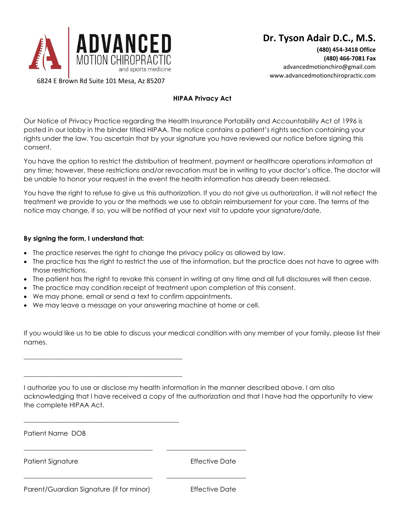

**(480) 454-3418 Office (480) 466-7081 Fax** advancedmotionchiro@gmail.com www.advancedmotionchiropractic.com

6824 E Brown Rd Suite 101 Mesa, Az 85207

## **HIPAA Privacy Act**

Our Notice of Privacy Practice regarding the Health Insurance Portability and Accountability Act of 1996 is posted in our lobby in the binder titled HIPAA. The notice contains a patient's rights section containing your rights under the law. You ascertain that by your signature you have reviewed our notice before signing this consent.

You have the option to restrict the distribution of treatment, payment or healthcare operations information at any time; however, these restrictions and/or revocation must be in writing to your doctor's office. The doctor will be unable to honor your request in the event the health information has already been released.

You have the right to refuse to give us this authorization. If you do not give us authorization, it will not reflect the treatment we provide to you or the methods we use to obtain reimbursement for your care. The terms of the notice may change, if so, you will be notified at your next visit to update your signature/date.

#### **By signing the form, I understand that:**

- The practice reserves the right to change the privacy policy as allowed by law.
- The practice has the right to restrict the use of the information, but the practice does not have to agree with those restrictions.
- The patient has the right to revoke this consent in writing at any time and all full disclosures will then cease.
- The practice may condition receipt of treatment upon completion of this consent.
- We may phone, email or send a text to confirm appointments.

\_\_\_\_\_\_\_\_\_\_\_\_\_\_\_\_\_\_\_\_\_\_\_\_\_\_\_\_\_\_\_\_\_\_\_\_\_\_\_\_\_\_\_\_\_\_\_\_

\_\_\_\_\_\_\_\_\_\_\_\_\_\_\_\_\_\_\_\_\_\_\_\_\_\_\_\_\_\_\_\_\_\_\_\_\_\_\_\_\_\_\_\_\_\_\_\_

\_\_\_\_\_\_\_\_\_\_\_\_\_\_\_\_\_\_\_\_\_\_\_\_\_\_\_\_\_\_\_\_\_\_\_\_\_\_\_\_\_\_\_\_\_\_\_

• We may leave a message on your answering machine at home or cell.

\_\_\_\_\_\_\_\_\_\_\_\_\_\_\_\_\_\_\_\_\_\_\_\_\_\_\_\_\_\_\_\_\_\_\_\_\_\_\_ \_\_\_\_\_\_\_\_\_\_\_\_\_\_\_\_\_\_\_\_\_\_\_\_

\_\_\_\_\_\_\_\_\_\_\_\_\_\_\_\_\_\_\_\_\_\_\_\_\_\_\_\_\_\_\_\_\_\_\_\_\_\_\_ \_\_\_\_\_\_\_\_\_\_\_\_\_\_\_\_\_\_\_\_\_\_\_\_

If you would like us to be able to discuss your medical condition with any member of your family, please list their names.

I authorize you to use or disclose my health information in the manner described above. I am also acknowledging that I have received a copy of the authorization and that I have had the opportunity to view the complete HIPAA Act.

Patient Name DOB

Patient Signature **Effective Date** 

Parent/Guardian Signature (if for minor) Effective Date